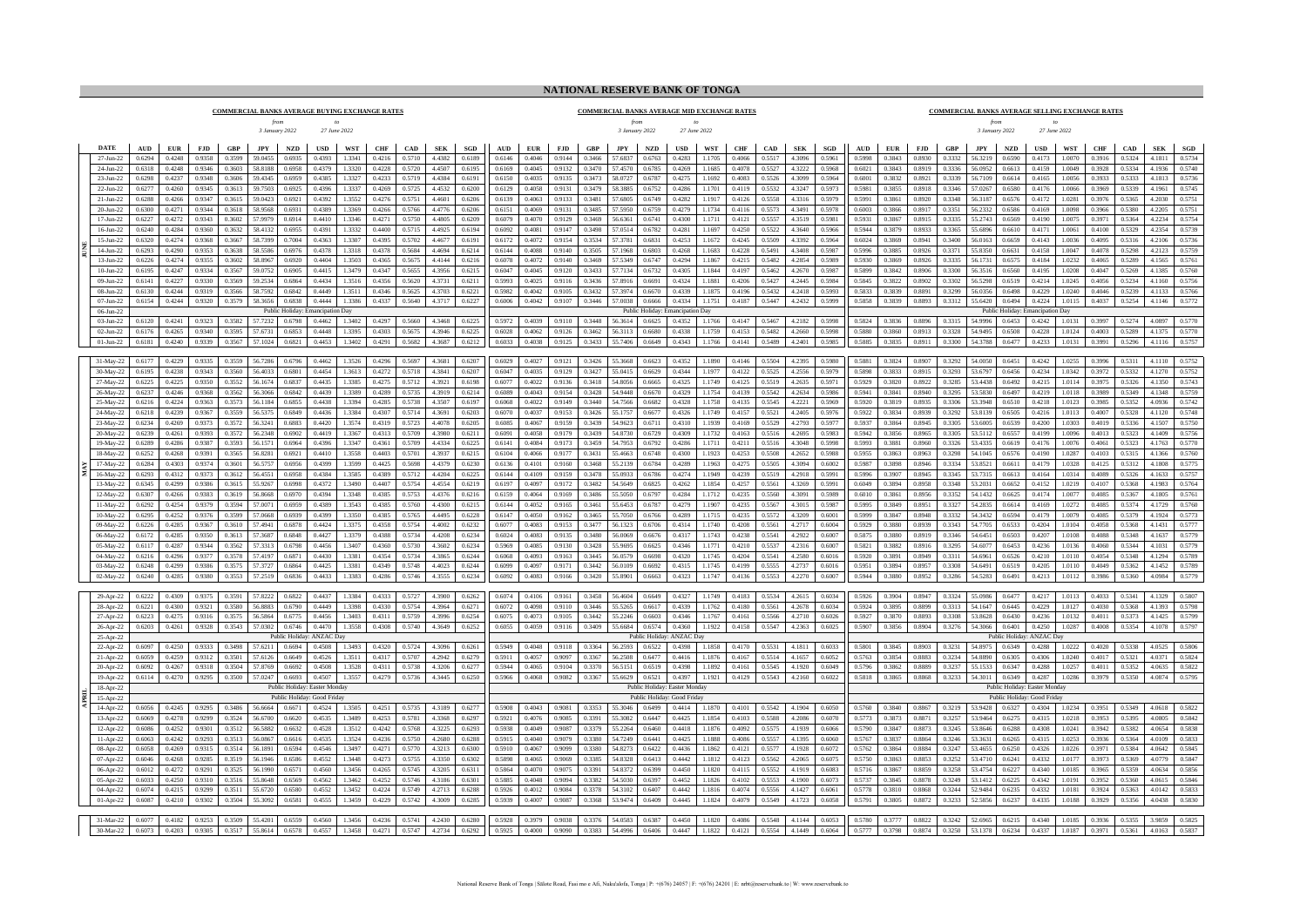## **NATIONAL RESERVE BANK OF TONGA**

**COMMERCIAL BANKS AVERAGE BUYING EXCHANGE RATES** *3 January 2022 from to 27 June 2022*

## *from to 3 January 2022 27 June 2022* **COMMERCIAL BANKS AVERAGE MID EXCHANGE RATES**

## **COMMERCIAL BANKS AVERAGE SELLING EXCHANGE RATES**

*3 January 2022 from 27 June 2022 to*

|  | <b>DATE</b>              | $\mathbf{A}\mathbf{U}\mathbf{D}$ | EUR              | FJD              | GBP                            | <b>JPY</b>         | <b>NZD</b>        | $_{\rm USD}$                                                 | WST              | <b>CHF</b>       | CAD              | ${\bf SEK}$      | $_{\rm SGD}$     | AUD              | ${\bf EUR}$      | <b>FJD</b>       | GBP              | JPY                | <b>NZD</b>        | <b>USD</b>                                                   | <b>WST</b>       | CHF              | CAD              | <b>SEK</b>       | SGD              | AUD              | ${\bf EUR}$      | FJD              | GBP              | JPY                | <b>NZD</b>         | <b>USD</b>                                                   | <b>WST</b>       | ${\bf CHF}$      | CAD              | ${\bf SEK}$      | SGD              |
|--|--------------------------|----------------------------------|------------------|------------------|--------------------------------|--------------------|-------------------|--------------------------------------------------------------|------------------|------------------|------------------|------------------|------------------|------------------|------------------|------------------|------------------|--------------------|-------------------|--------------------------------------------------------------|------------------|------------------|------------------|------------------|------------------|------------------|------------------|------------------|------------------|--------------------|--------------------|--------------------------------------------------------------|------------------|------------------|------------------|------------------|------------------|
|  | 27-Jun-22                | 0.6294                           | 0.4248           | 0.9358           | 0.3599                         | 59.0455            | 0.6935            | 0.4393                                                       | 13341            | 0.4216           | 0.5710           | 4.4382           | 0.6189           | 0.6146           | 0.4046           | 0.9144           | 0.3466           | 57.6837            | 0.6763            | 0.4283                                                       | 11705            | 0.4066           | 0.5517           | 4.3096           | 0.5961           | 0.5998           | 0.3843           | 0.8930           | 0.3332           | 56.3219            | 0.6590             | 0.4173                                                       | 1.0070           | 0.3916           | 0.5324           | 4 1811           | 0.5734           |
|  | 24-Jun-22                | 0.6318                           | 0.4248           | 0.9346           | 0.3603                         | 58.8188            | 0.6958            | 0.4379                                                       | 1.3320           | 0.4228           | 0.5720           | 4 4507           | 0.6195           | 0.6169           | 0.4045           | 0.9132           | 0.3470           | 57 4570            | 0.6785            | 0.4269                                                       | 11685            | 0.4078           | 0.5527           | 4 3222           | 0.5968           | 0.6021           | 0.3843           | 0.8919           | 0.3336           | 56.0952            | 0.6613             | 0.4159                                                       | 1 0049           | 0.3928           | 0.5334           | 4 1936           | 0.5740           |
|  | 23-Jun-22                | 0.6298                           | 0.4237           | 0.9348           | 0.3606                         | 59.4345            | 0.6959            | 0.4385                                                       | 1.3327           | 0.4233           | 0.5719           | 4.4384           | 0.6191           | 0.6150           | 0.4035           | 0.9135           | 0.3473           | 58.0727            | 0.6787            | 0.4275                                                       | 1.1692           | 0.4083           | 0.5526           | 4.3099           | 0.5964           | 0.6001           | 0.3832           | 0.8921           | 0.3339           | 56.7109            | 0.6614             | 0.4165                                                       | 1.0056           | 0.3933           | 0.5333           | 4.1813           | 0.5736           |
|  | $22 - \text{lim-}22$     | 0.6277                           | 0.4260           | 0.9345           | 0.3613                         | 59.7503            | 0.6925            | 0.4396                                                       | 13337            | 0.4269           | 0.5725           | 44532            | 0.6200           | 0.6129           | 0.4058           | 0.9131           | 0.3479           | 58 3885            | 0.6752            | 0.4286                                                       | 1 1701           | 0.4119           | 0.5532           | 4 3 2 4 7        | 0.5973           | 0.5981           | 0.3855           | 0.8918           | 0.3346           | 57.0267            | 0.6580             | 0.4176                                                       | 1.0066           | 0.3969           | 0.5339           | 4 1961           | 0.5745           |
|  | $21 - \text{lim} - 22$   | 0.6288                           | 0.4266           | 0.9347           | 0.3615                         | 59.0423            | 0.6921            | 0.4392                                                       | 13552            | 0.4276           | 0.5751           | 4 4 6 0 1        | 0.6206           | 0.6139           | 0.4063           | 0.9133           | 0.3481           | 57.6805            | 0.6749            | 0.4282                                                       | 11917            | 0.4126           | 0.5558           | 43316            | 0.5979           | 0.5991           | 0.3861           | 0.8920           | 0.3348           | 563187             | 0.6576             | 0.4172                                                       | 1.0281           | 0.3976           | 0.5365           | 4.2030           | 0.5751           |
|  | $20 - \text{I}$ un- $22$ | 0.6300                           | 0.427            | 0.9344           | 0.3618                         | 58.9568            | 0.6931            | 0.4389                                                       | 3369             | 0.4266           | 0.5766           | 4 4776           | 0.6206           | 0.6151           | 0.4069           | 0.9131           | 0.3485           | 57.5950            | 0.6759            | 0.4279                                                       | 1734             | 0.4116           | 0.5573           | 4 3491           | 0.5978           | 0.6003           | 0.3866           | 0.8917           | 0.3351           | 56.2332            | 0.6586             | 0.4169                                                       | 1.0098           | 0.3966           | 0.5380           | 4220             | 0.5751           |
|  | 17-Jun-22<br>16-Jun-22   | 0.622<br>0.6240                  | 0.4272<br>0.4284 | 0.9343<br>0.9360 | 0.3602<br>0.3632               | 57.9979<br>58.4132 | 0.6914<br>0.6955  | 0.4410<br>0.4391                                             | 1.3346<br>1.3332 | 0.4271<br>0.4400 | 0.5750<br>0.5715 | 4.4805<br>4.4925 | 0.6209<br>0.6194 | 0.6079<br>0.6092 | 0.4070<br>0.4081 | 0.9129<br>0.9147 | 0.3469<br>0.3498 | 56.6361<br>57.0514 | 0.6741<br>0.6782  | 0.4300<br>0.4281                                             | 1.1711<br>1.1697 | 0.4121<br>0.4250 | 0.5557<br>0.5522 | 43519<br>4.3640  | 0.5981<br>0.5966 | 0.5931<br>0.5944 | 0.3867<br>0.3879 | 0.8915<br>0.8933 | 0.3335<br>0.3365 | 55 2743<br>55.6896 | 0.6569<br>0.6610   | 0.4190<br>0.4171                                             | 1.0075<br>1.0061 | 0.3971<br>0.4100 | 0.5364<br>0.5329 | 4 2234<br>4.2354 | 0.5754<br>0.5739 |
|  | $15 - \frac{1}{22}$      | 0.6320                           | 0.4274           | 0.9368           | 0.3667                         | 58.7399            | 0.7004            | 0.4363                                                       | 13307            | 0.4395           | 0.5702           | 4 4 6 7 7        | 0.6191           | 0.6172           | 0.4072           | 0.9154           | 0.3534           | 57 3781            | 0.6831            | 0.4253                                                       | 1.1672           | 0.4245           | 0.5509           | 4.3392           | 0.5964           | 0.6024           | 0.3869           | 0.8941           | 0.3400           | 56.0163            | 0.6659             | 0.4143                                                       | 1.0036           | 0.4095           | 0.5316           | 4.2106           | 0.5736           |
|  | 14-Jun-22                | 0.6293                           | 0.4290           | 0.9353           | 0.3638                         | 58 5586            | 0.6976            | 0.4378                                                       | 1.3318           | 0.4378           | 0.5684           | 4 4 6 9 4        | 0.6214           | 0.6144           | 0.4088           | 0.9140           | 0.3505           | 57 1968            | 0.6803            | 0.4268                                                       | 11683            | 0.4228           | 0.5491           | 4.3408           | 0.5987           | 3002.0           | 0.3885           | 0.8926           | 0.3371           | 55.8350            | 0.6631             | 0.4158                                                       | 1 0047           | 0.4078           | 0.5298           | 4.2123           | 0.5759           |
|  | 13-Jun-22                | 0.6226                           | 0.4274           | 0.9355           | 0.3602                         | 58.896             | 0.6920            | 0.4404                                                       | 1.3503           | 0.4365           | 0.5675           | 4.4144           | 0.6216           | 0.6078           | 0.4072           | 0.9140           | 0.3469           | 57.5349            | 0.6747            | 0.4294                                                       | 1867             | 0.4215           | 0.5482           | 4.2854           | 0.5989           | 0.5930           | 0.3869           | 0.8926           | 0.3335           | 56 1731            | 0.6575             | 0.4184                                                       | 1.0232           | 0.406            | 0.5289           | 4.1565           | 0.5761           |
|  | $10$ -Jun-22             | 0.6195                           | 0.424            | 0.9334           | 0.3567                         | 59.0752            | 0.6905            | 0.4415                                                       | 1.3479           | 0.4347           | 0.5655           | 4.3956           | 0.6215           | 0.6047           | 0.4045           | 0.9120           | 0.3433           | 57.7134            | 0.6732            | 0.4305                                                       | 1.1844           | 0.4197           | 0.5462           | 4.2670           | 0.5987           | 0.5899           | 0.3842           | 0.8906           | 0.3300           | 56.3516            | 0.6560             | 0.4195                                                       | 1.0208           | 0.4047           | 0.5269           | 4.1385           | 0.5760           |
|  | 09-Jun-22                | 0.6141                           | 0.4227           | 0.9330           | 0.3569                         | 59.2534            | 0.6864            | 0.4434                                                       | 1.3516           | 0.4356           | 0.5620           | 4.3731           | 0.6211           | 0.5993           | 0.4025           | 0.9116           | 0.3436           | 57.8916            | 0.6691            | 0.4324                                                       | 1.1881           | 0.4206           | 0.5427           | 4.2445           | 0.5984           | 0.5845           | 0.3822           | 0.8902           | 0.3302           | 56.5298            | 0.6519             | 0.4214                                                       | 1.0245           | 0.4056           | 0.5234           | 4.1160           | 0.5756           |
|  | $08 - \text{I}$ un-22    | 0.6130                           | 0.4244           | 0.9319           | 0.3566                         | 58 7592            | 0.6842            | 0.4449                                                       | 13511            | 0.4346           | 0.5625           | 4 3703           | 0.6221           | 0.5982           | 0.4042           | 0.9105           | 0.3432           | 57 3974            | 0.6670            | 0.4339                                                       | 1 1875           | 0.4196           | 0.5432           | 4 2418           | 0.5993           | 0.5833           | 0.3839           | 0.8891           | 0.3299           | 56.0356            | 0.6498             | 0.4229                                                       | 1.0240           | 0.4046           | 0.5239           | 4 1 1 3 3        | 0.5766           |
|  | 07-Jun-22                | 0.6154                           | 0.4244           | 0.9320           | 0.3579                         | 58 3656            | 0.6838            | 0.4444                                                       | 13386            | 04337            | 0.5640           | 4.3717           | 0.6227           | 0.6006           | 0.4042           | 0.9107           | 0.3446           | 57.0038            | 0.6666            | 0.4334                                                       | 1.1751           | 0.4187           | 0.5447           | 4.2432           | 0.5999           | 0.5858           | 0.3839           | 0.8893           | 0.3312           | 55.6420            | 0.6494             | 0.4224                                                       | 1.0115           | 0.4037           | 0.5254           | 4.1146           | 0.5772           |
|  | 06-Jun-22                |                                  |                  |                  |                                |                    | Public Holiday: I | ancipation Day                                               |                  |                  |                  |                  |                  |                  |                  |                  |                  |                    | Public Holiday: I | ancipation Day                                               |                  |                  |                  |                  |                  |                  |                  |                  |                  |                    | Public Holiday: En | nancipation Day                                              |                  |                  |                  |                  |                  |
|  | 03-Jun-22                | 0.6120                           | 0.4241           | 0.9323           | 0.3582                         | 57.7232            | 0.6798            | 0.4462                                                       | 1.3402           | 0.4297           | 0.5660           | 4.3468           | 0.6225           | 0.5972           | 0.4039           | 0.9110           | 0.3448           | 56.3614            | 0.6625            | 0.4352                                                       | 1.1766           | 0.4147           | 0.5467           | 4.2182           | 0.5998           | 0.5824           | 0.3836           | 0.8896           | 0.3315           | 54.9996            | 0.6453             | 0.4242                                                       | 1.0131           | 0.3997           | 0.5274           | 4.0897           | 0.5770           |
|  | $02-Jun-22$              | 0.6176                           | 0.4265           | 0.9340           | 0.3595                         | 57.673             | 0.6853            | 0.4448                                                       | 1.3395           | 0.4303           | 0.5675           | 4.3946           | 0.6225           | 0.6028           | 0.4062           | 0.9126           | 0.3462           | 56.3113            | 0.6680            | 0.4338                                                       | 1.1759           | 0.4153           | 0.5482           | 4.2660           | 0.5998           | 0.5880           | 0.3860           | 0.8913           | 0.3328           | 54.9495            | 0.6508             | 0.4228                                                       | 1.0124           | 0.4003           | 0.5289           | 4.1375           | 0.5770           |
|  | $01-Jun-22$              | 0.6181                           | 0.4240           | 0.9339           | 0.3567                         | 57.1024            | 0.6821            | 0.4453                                                       | 1.3402           | 0.4291           | 0.5682           | 4.3687           | 0.6212           | 0.6033           | 0.4038           | 0.9125           | 0.3433           | 55.7406            | 0.6649            | 0.4343                                                       | 1.1766           | 0.4141           | 0.5489           | 4.2401           | 0.5985           | 0.5885           | 0.3835           | 0.8911           | 0.3300           | 54.3788            | 0.6477             | 0.4233                                                       | 1.0131           | 0.3991           | 0.5296           | 4.1116           | 0.5757           |
|  | 31-May-22                | 0.6177                           | 0.4229           | 0.9335           | 0.3559                         | 56,7286            | 0.6796            | 0.4462                                                       | 1.3526           | 0.4296           | 0.5697           | 4.3681           | 0.6207           | 0.6029           | 0.4027           | 0.9121           | 0.3426           | 55,3668            | 0.6623            | 0.4352                                                       | 1.1890           | 0.4146           | 0.5504           | 4.2395           | 0.5980           | 0.5881           | 0.3824           | 0.8907           | 0.3292           | 54,0050            | 0.6451             | 0.4242                                                       | 1.0255           | 0.3996           | 0.5311           | 4 1 1 1 0        | 0.5752           |
|  | 30-May-22                | 0.6195                           | 0.4238           | 0.9343           | 0.3560                         | 56.4033            | 0.6801            | 0.4454                                                       | .3613            | 0.4272           | 0.5718           | 4.3841           | 0.6207           | 0.6047           | 0.4035           | 0.9129           | 0.3427           | 55.0415            | 0.6629            | 0.4344                                                       | 1.1977           | 0.4122           | 0.5525           | 4.2556           | 0.5979           | 0.5898           | 0.3833           | 0.8915           | 0.3293           | 53.6797            | 0.6456             | 0.4234                                                       | 1.0342           | 0.3972           | 0.5332           | 4.1270           | 0.5752           |
|  | 27-May-22                | 0.6225                           | 0.4225           | 0.9350           | 0.3552                         | 56.1674            | 0.6837            | 0.4435                                                       | 13385            | 0.4275           | 0.5712           | 4.3921           | 0.6198           | 0.6077           | 0.4022           | 0.9136           | 0.3418           | 54 8056            | 0.6665            | 0.4325                                                       | 1.1749           | 0.4125           | 0.5519           | 4.2635           | 0.5971           | 0.5929           | 0.3820           | 0.8922           | 0.3285           | 53 4438            | 0.6492             | 0.4215                                                       | 1.0114           | 0.3975           | 0.5326           | 4 1350           | 0.5743           |
|  | 26-May-22                | 0.6237                           | 0.4246           | 0.9368           | 0.3562                         | 56,3066            | 0.6842            | 0.4439                                                       | 1.3389           | 0.4289           | 0.5735           | 4.3919           | 0.6214           | 0.6089           | 0.4043           | 0.9154           | 0.3428           | 54.9448            | 0.6670            | 0.4329                                                       | 1.1754           | 0.4139           | 0.5542           | 4.2634           | 0.5986           | 0.5941           | 0.3841           | 0.8940           | 0.3295           | 53,5830            | 0.6497             | 0.4219                                                       | 1.0118           | 0.3989           | 0.5349           | 4.1348           | 0.5759           |
|  | 25-May-22                | 0.6216                           | 0.4224           | 0.9363           | 0.3573                         | 56.1184            | 0.6855            | 0.4438                                                       | 1.3394           | 0.4285           | 0.5738           | 4.3507           | 0.6197           | 0.6068           | 0.4022           | 0.9149           | 0.3440           | 54.7566            | 0.6682            | 0.4328                                                       | 1.1758           | 0.4135           | 0.5545           | 4.2221           | 0.5969           | 0.5920           | 0.3819           | 0.8935           | 0.3306           | 53 3948            | 0.6510             | 0.4218                                                       | 1.0123           | 0.3985           | 0.5352           | 4.0936           | 0.5742           |
|  | 24-May-22                | 0.6218                           | 0.4239           | 0.9367           | 0.3559                         | 56 5375            | 0.6849            | 0.4436                                                       | 1.3384           | 0.4307           | 0.5714           | 4.3691           | 0.6203           | 0.6070           | 0.4037           | 0.9153           | 0.3426           | 55.1757            | 0.6677            | 0.4326                                                       | 11749            | 0.4157           | 0.5521           | 4.2405           | 0.5976           | 0.5922           | 0.3834           | 0.8939           | 0.3292           | 53.8139            | 0.6505             | 0.4216                                                       | 10113            | 0.4007           | 0.5328           | 4 1 1 2 0        | 0.5748           |
|  | 23-May-22                | 0.6234                           | 0.4269           | 0.9373           | 0.3572                         | 56.3241            | 0.6883            | 0.4420                                                       | 1.3574           | 0.4319           | 0.5723           | 4.4078           | 0.6205           | 0.6085           | 0.4067           | 0.9159           | 0.3439           | 54.9623            | 0.6711            | 0.4310                                                       | .1939            | 0.4169           | 0.5529           | 4.2793           | 0.5977           | 0.5937           | 0.3864           | 0.8945           | 0.3305           | 53.6005            | 0.6539             | 0.4200                                                       | 1.0303           | 0.4019           | 0.5336           | 4.1507           | 0.5750           |
|  | 20-May-22                | 0.6239                           | 0.4261           | 0.9393           | 0.3572                         | 56.2348            | 0.6902            | 0.4419                                                       | 13367            | 0.4313           | 0.5709           | 4.3980           | 0.6211           | 0.6091           | 0.4058           | 0.9179           | 0.3439           | 54.8730            | 0.6729            | 0.4309                                                       | 1.1732           | 0.4163           | 0.5516           | 4.2695           | 0.5983           | 0.5942           | 0.3856           | 0.8965           | 0.3305           | 53 5112            | 0.6557             | 0.4199                                                       | 1.0096           | 0.4013           | 0.5323           | 4 1 4 0 9        | 0.5756           |
|  | 19-May-22                | 0.6289                           | 0.4286           | 0.9387           | 0.3593                         | 56.1571            | 0.6964            | 0.4396                                                       | 1.3347           | 0.4361           | 0.5709           | 4.4334           | 0.6225           | 0.6141           | 0.4084           | 0.9173           | 0.3459           | 54.7953            | 0.6792            | 0.4286                                                       | 1.1711           | 0.4211           | 0.5516           | 4.3048           | 0.5998           | 0.5993           | 0.3881           | 0.8960           | 0.3326           | 53.4335            | 0.6619             | 0.4176                                                       | 1.0076           | 0.4061           | 0.5323           | 4.1763           | 0.5770           |
|  | 18-May-22                | 0.6252                           | 0.4268           | 0.9391           | 0.3565                         | 56.8281            | 0.6921            | 0.4410                                                       | 1.3558           | 0.4403           | 0.5701           | 4.3937           | 0.6215           | 0.6104           | 0.4066           | 0.9177           | 0.3431           | 55.4663            | 0.6748            | 0.4300                                                       | 1.1923           | 0.4253           | 0.5508           | 4.2652           | 0.5988           | 0.5955           | 0.3863           | 0.8963           | 0.3298           | 54.1045            | 0.6576             | 0.4190                                                       | 1.0287           | 0.4103           | 0.5315           | 4.1366           | 0.5760           |
|  | 17-May-22                | 0.6284                           | 0.4303           | 0.9374           | 0.3601                         | 56.5757            | 0.6956            | 0.4399                                                       | 1.3599           | 0.4425           | 0.5698           | 4.4379           | 0.6230           | 0.6136           | 0.4101           | 0.9160           | 0.3468           | 55.2139            | 0.6784            | 0.4289                                                       | 1.1963           | 0.4275           | 0.5505           | 4.3094           | 0.6002           | 0.5987           | 0.3898           | 0.8946           | 0.3334           | 53.8521            | 0.6611             | 0.4179                                                       | 1.0328           | 0.4125           | 0.5312           | 4.1808           | 0.5775           |
|  | 16-May-22<br>13-May-22   | 0.6293<br>0.6345                 | 0.4312<br>0.4299 | 0.9373<br>0.9386 | 0.3612<br>$0.361$ <sup>*</sup> | 56.455<br>55.9267  | 0.6958<br>0.6998  | 0.4384<br>0.4372                                             | 1.3585<br>1 3490 | 0.4389<br>0.4407 | 0.5712<br>0.5754 | 4.4204<br>4.4554 | 0.6225<br>0.6219 | 0.6144<br>0.6197 | 0.4109<br>0.4097 | 0.9159<br>0.9172 | 0.3478<br>0.3482 | 55.0933<br>54.5649 | 0.6786<br>0.6825  | 0.4274<br>0.4262                                             | 1.1949<br>11854  | 0.4239<br>0.4257 | 0.5519<br>0.5561 | 4.2918<br>4 3269 | 0.5991<br>0.5991 | 0.5996<br>0.6049 | 0.3907<br>0.3894 | 0.8945<br>0.8958 | 0.3345<br>0.3348 | 53.7315<br>53.2031 | 0.6613<br>0.6652   | 0.4164<br>0.4152                                             | 1.0314<br>1.0219 | 0.4089<br>0.4107 | 0.5326<br>0.5368 | 4.1633<br>4 1982 | 0.5757<br>0.5764 |
|  | 12-May-22                | 0.6307                           | 0.4266           | 0.9383           | 0.3619                         | 56.8668            | 0.6970            | 0.4394                                                       | 1.3348           | 0.4385           | 0.5753           | 4.4376           | 0.6216           | 0.6159           | 0.4064           | 0.9169           | 0.3486           | 55.5050            | 0.6797            | 0.4284                                                       | 1.1712           | 0.4235           | 0.5560           | 4.3091           | 0.5989           | 0.6010           | 0.3861           | 0.8956           | 0.3352           | 54.1432            | 0.6625             | 0.4174                                                       | 1.0077           | 0.4085           | 0.5367           | 4.1805           | 0.5761           |
|  | 11-May-22                | 0.6292                           | 0.4254           | 0.9379           | 0.3594                         | 57 0071            | 0.6959            | 0.4389                                                       | 13543            | 0.4385           | 0.5760           | 4.4300           | 0.6215           | 0.6144           | 0.4052           | 0.9165           | 0.3461           | 55.6453            | 0.6787            | 0.4279                                                       | 11907            | 0.4235           | 0.5567           | 4.3015           | 0.5987           | 0.5995           | 0.3849           | 0.8951           | 0.3327           | 54 2835            | 0.6614             | 0.4169                                                       | 1.0272           | 0.4085           | 0.5374           | 4 1729           | 0.5760           |
|  | 10-May-22                | 0.6295                           | 0.4252           | 0.9376           | 0.3599                         | 57.0668            | 0.6939            | 0.4399                                                       | 13350            | 0.4385           | 0.5765           | 4 4 4 9 5        | 0.6228           | 0.6147           | 0.4050           | 0.9162           | 0.3465           | 55 7050            | 0.6766            | 0.4289                                                       | 11715            | 0.4235           | 0.5572           | 4 3209           | 0.6001           | 0.5999           | 0.3847           | 0.8948           | 0.3332           | 54 3432            | 0.6594             | 0.4179                                                       | 1.0079           | 0.4085           | 0.5379           | 4 1924           | 0.5773           |
|  | 09-May-22                | 0.6226                           | 0.4285           | 0.9367           | 0.3610                         | 57 494             | 0.6878            | 0.4424                                                       | 3375             | 0.4358           | 0.5754           | 4 4007           | 0.6232           | 0.6073           | 0.4083           | 0.9153           | 03477            | 56.1323            | 0.6706            | 0.4314                                                       | 1740             | 0.4208           | 0.5561           | 4 27 17          | 0.6004           | 0.5929           | 0.3880           | 0.8939           | 0.3343           | 54 770*            | 0.6533             | 0.4204                                                       | 10104            | 0.4058           | 0.5368           | 4 1 4 3          | 0.5777           |
|  | 06-May-22                | 0.6172                           | 0.428            | 0.9350           | 0.3613                         | 57.3683            | 0.6848            | 0.4427                                                       | 1.3379           | 0.4388           | 0.5734           | 4.4208           | 0.6234           | 0.6024           | 0.4083           | 0.9135           | 0.3480           | 56.0069            | 0.6676            | 0.4317                                                       | 1.1743           | 0.4238           | 0.5541           | 4.2922           | 0.6007           | 0.5875           | 0.3880           | 0.8919           | 0.3346           | 54 6451            | 0.6503             | 0.4207                                                       | 1.0108           | 0.4088           | 0.5348           | 4 1 6 3 7        | 0.5779           |
|  | 05-May-22                | 0.6117                           | 0.4287           | 0.9344           | 0.3562                         | 57.3313            | 0.6798            | 0.4456                                                       | 1.3407           | 0.4360           | 0.5730           | 4.3602           | 0.6234           | 0.5969           | 0.4085           | 0.9130           | 0.3428           | 55.9695            | 0.6625            | 0.4346                                                       | 1.1771           | 0.4210           | 0.5537           | 4.2316           | 0.6007           | 0.5821           | 0.3882           | 0.8916           | 0.3295           | 54.6077            | 0.6453             | 0.4236                                                       | 1.0136           | 0.4060           | 0.5344           | 4.1031           | 0.5779           |
|  | 04-May-22                | 0.6216                           | 0.4296           | 09377            | 0.3578                         | 574197             | 0.6871            | 0.4430                                                       | 13381            | 0.4354           | 0.5734           | 4.3865           | 0.6244           | 0.6068           | 0.4093           | 0.9163           | 0.3445           | 56.0579            | 8956.0            | 0.4320                                                       | 1.1745           | 0.4204           | 0.5541           | 4 2580           | 0.6016           | 0.5920           | 0.3891           | 0.8949           | 0.3311           | 54 6961            | 0.6526             | 0.4210                                                       | 1.0110           | 0.4054           | 0.5348           | 4 1294           | 0.5789           |
|  | 03-May-22                | 0.6248                           | 0.4299           | 0.9386           | 0.3575                         | 57.3727            | 0.6864            | 0.4425                                                       | 1.3381           | 0.4349           | 0.5748           | 4.4023           | 0.6244           | 0.6099           | 0.4097           | 0.9171           | 0.3442           | 56.0109            | 0.6692            | 0.4315                                                       | 1.1745           | 0.4199           | 0.5555           | 4.2737           | 0.6016           | 0.5951           | 0.3894           | 0.8957           | 0.3308           | 54.6491            | 0.6519             | 0.4205                                                       | 1.0110           | 0.4049           | 0.5362           | 4.1452           | 0.5789           |
|  | 02-May-22                | 0.6240                           | 0.4285           | 0.9380           | 0.3553                         | 57 2519            | 0.6836            | 0.4433                                                       | 13383            | 0.4286           | 0.5746           | 43555            | 0.6234           | 0.6092           | 0.4083           | 0.9166           | 0.3420           | 55.8901            | 0.6663            | 0.4323                                                       | 11747            | 0.4136           | 0.5553           | 4 2270           | 0.6007           | 0.5944           | 0.3880           | 0.8952           | 0.3286           | 54 5283            | 0.6491             | 0.4213                                                       | 10112            | 0.3986           | 0.5360           | 4 0984           | 0.5779           |
|  | 29-Apr-22                | 0.6222                           | 0.4309           | 0.9375           | 0.3591                         | 57.8222            | 0.6822            | 0.4437                                                       | 1.3384           | 0.4333           | 0.5727           | 4.3900           | 0.6262           | 0.6074           | 0.4106           | 0.9161           | 0.3458           | 56.4604            | 0.6649            | 0.4327                                                       | 1.1749           | 0.4183           | 0.5534           | 4.2615           | 0.6034           | 0.5926           | 0.3904           | 0.8947           | 0.3324           | 55.0986            | 0.6477             | 0.4217                                                       | 1.0113           | 0.4033           | 0.5341           | 4.1329           | 0.5807           |
|  | 28-Apr-22                | 0.6221                           | 0.4300           | 0.9321           | 0.3580                         | 56.8883            | 0.6790            | 0.4449                                                       | 13398            | 0.4330           | 0.5754           | 4 3964           | 0.6271           | 0.6072           | 0.4098           | 0.9110           | 0.3446           | 55.5265            | 0.6617            | 0.4339                                                       | 1 1762           | 0.4180           | 0.5561           | 4 2678           | 0.6034           | 0.5924           | 0.3895           | 0.8899           | 0.3313           | 54 1647            | 0.6445             | 0.4229                                                       | 1.0127           | 0.4030           | 0.5368           | 4 1393           | 0.5798           |
|  | 27-Apr-22                | 0.6223                           | 0.4275           | 0.9316           | 03575                          | 56 5864            | 0.6775            | 0.4456                                                       | 1 3403           | 0.4311           | 0.5759           | 4 3996           | 0.6254           | 0.6075           | 0.4073           | 0.9105           | 0.3442           | 55.2246            | 0.6603            | 0.4346                                                       | 1 1767           | 0.4161           | 0.5566           | 4.2710           | 0.6026           | 0.5927           | 0.3870           | 0.8893           | 0.3308           | 53 8628            | 0.6430             | 0.4236                                                       | 1.0132           | 0.4011           | 0.5373           | 4 1 4 2 5        | 0.5799           |
|  | 26-Apr-22                | 0.6203                           | 0.4261           | 0.9328           | 0.3543                         | 57.0302            | 0.6746            | 0.4470                                                       | 1.3558           | 0.4308           | 0.5740           | 4.3649           | 0.6252           | 0.6055           | 0.4059           | 0.9116           | 0.3409           | 55.6684            | 0.6574            | 0.4360                                                       | 1.1922           | 0.4158           | 0.5547           | 4.2363           | 0.6025           | 0.5907           | 0.3856           | 0.8904           | 0.3276           | 54.3066            | 0.6401             | 0.4250                                                       | 1.0287           | 0.4008           | 0.5354           | 4.1078           | 0.5797           |
|  | 25-Apr-22                |                                  |                  |                  |                                |                    | Public Holiday:   | <b>ANZAC</b> Da                                              |                  |                  |                  |                  |                  |                  |                  |                  |                  |                    |                   | Public Holiday: ANZAC Day                                    |                  |                  |                  |                  |                  |                  |                  |                  |                  |                    |                    | Public Holiday: ANZAC Day                                    |                  |                  |                  |                  |                  |
|  | 22-Apr-22                | 0.6097                           | 0.4250           | 0.9333           | 0.3498                         | 57 6211            | 0.6694            | 0.4508                                                       | 1 3493           | 0.4320           | 0.5724           | 4.3096           | 0.6261           | 0.5949           | 0.4048           | 0.9118           | 0.3364           | 56.2593            | 0.6522            | 0.4398                                                       | 11858            | 0.4170           | 0.5531           | 4 1811           | 0.6033           | 0.5801           | 0.3845           | 0.8903           | 0.3231           | 54 8975            | 0.6349             | 0.4288                                                       | 1.0222           | 0.4020           | 0.5338           | 4.0525           | 0.5806           |
|  | 21-Apr-22                | 0.6059                           | 0.4259           | 0.9312           | 0.3501                         | 57.6126            | 0.6649            | 0.4526                                                       | 1.3511           | 0.4317           | 0.5707           | 4.2942           | 0.6279           | 0.5911           | 0.4057           | 0.9097           | 0.3367           | 56.2508            | 0.6477            | 0.4416                                                       | 1.1876           | 0.4167           | 0.5514           | 4.1657           | 0.6052           | 0.5763           | 0.3854           | 0.8883           | 0.3234           | 54.8890            | 0.6305             | 0.4306                                                       | 1.0240           | 0.4017           | 0.5321           | 4.0371           | 0.5824           |
|  | 20-Apr-22                | 0.6092                           | 0.4267           | 0.9318           | 0.3504                         | 57.8769            | 0.6692            | 0.4508                                                       | 1.3528           | 0.4311           | 0.5738           | 4.3206           | 0.6277           | 0.5944           | 0.4065           | 0.9104           | 0.3370           | 56.5151            | 0.6519            | 0.4398                                                       | 1.1892           | 0.4161           | 0.5545           | 4.1920           | 0.6049           | 0.5796           | 0.3862           | 0.8889           | 0.3237           | 55.1533            | 0.6347             | 0.4288                                                       | 1.0257           | 0.4011           | 0.5352           | 4.0635           | 0.5822           |
|  | 19-Apr-22                | 0.6114                           | 0.4270           | 0.9295           | 0.3500                         | 57.0247            | 0.6693            | 0.4507                                                       | 1.3557           | 0.4279           | 0.5736           | 4.3445           | 0.6250           | 0.5966           | 0.4068           | 0.9082           | 0.3367           | 55.6629            | 0.6521            | 0.4397                                                       | 1.1921           | 0.4129           | 0.5543           | 4.2160           | 0.6022           | 0.5818           | 0.3865           | 0.8868           | 0.3233           | 54 3011            | 0.6349             | 0.4287                                                       | 1.0286           | 0.3979           | 0.5350           | 4.0874           | 0.5795           |
|  | 18-Apr-22                |                                  |                  |                  |                                |                    |                   | Public Holiday: Easter Monday<br>Public Holiday: Good Friday |                  |                  |                  |                  |                  |                  |                  |                  |                  |                    |                   | Public Holiday: Easter Monday<br>Public Holiday: Good Friday |                  |                  |                  |                  |                  |                  |                  |                  |                  |                    |                    | Public Holiday: Easter Monday<br>Public Holiday: Good Friday |                  |                  |                  |                  |                  |
|  | 15-Apr-22                | 0.6056                           | 0.4245           | 0.9295           | 0.3486                         | 56,6664            | 0.6671            | 0.4524                                                       | 1.3505           | 0.4251           | 0.5735           | 4.3189           | 0.6277           | 0.5908           | 0.4043           | 0.9081           | 0.3353           | 55.3046            | 0.6499            | 0.4414                                                       | 1.1870           | 0.4101           | 0.5542           | 4.1904           | 0.6050           | 0.5760           | 0.3840           | 0.8867           | 0.3219           | 53.9428            | 0.6327             | 0.4304                                                       | 1.0234           | 0.3951           | 0.5349           | 4.0618           | 0.5822           |
|  | 14-Apr-22<br>13-Apr-22   | 0.6069                           | 0.4278           | 0.9299           | 0.3524                         | 56.6700            | 0.6620            | 0.4535                                                       | 1.3489           | 0.4253           | 0.5781           | 4.3368           | 0.6297           | 0.5921           | 0.4076           | 0.9085           | 0.3391           | 55.3082            | 0.6447            | 0.4425                                                       | 1.1854           | 0.4103           | 0.5588           | 4.2086           | 0.6070           | 0.5773           | 0.3873           | 0.8871           | 0.3257           | 53.9464            | 0.6275             | 0.4315                                                       | 1.0218           | 0.3953           | 0.5395           | 4.0805           | 0.5842           |
|  | 12-Apr-22                | 0.6086                           | 0.4252           | 0.9301           | 0.3512                         | 56 5882            | 0.6632            | 0.4528                                                       | 1.3512           | 0.4242           | 0.5768           | 4.3225           | 0.6293           | 0.5938           | 0.4049           | 0.9087           | 0.3379           | 55.2264            | 0.6460            | 0.4418                                                       | 1.1876           | 0.4092           | 0.5575           | 4.1939           | 0.6066           | 0.5790           | 0.3847           | 0.8873           | 0.3245           | 53 8646            | 0.6288             | 0.4308                                                       | 1.0241           | 0.3942           | 0.5382           | 4.0654           | 0.5838           |
|  | 11-Apr-22                | 0.6063                           | 0.4242           | 0.9293           | 0.3513                         | 56.0867            | 0.6616            | 0.4535                                                       | 1.3524           | 0.4236           | 0.5750           | 4.2680           | 0.6288           | 0.5915           | 0.4040           | 0.9079           | 0.3380           | 54.7249            | 0.6441            | 0.4425                                                       | 1888             | 0.4086           | 0.5557           | 4.1395           | 0.6060           | 0.5767           | 0.3837           | 0.8864           | 0.3246           | 53.3631            | 0.6265             | 0.4315                                                       | 1.0253           | 0.3936           | 0.5364           | 4.0109           | 0.5833           |
|  | 08-Apr-22                | 0.6058                           | 0.4269           | 0.9315           | 0.3514                         | 56.1891            | 0.6594            | 0.4546                                                       | 1.3497           | 0.4271           | 0.5770           | 4.3213           | 0.6300           | 0.5910           | 0.4067           | 0.9099           | 0.3380           | 54.8273            | 0.6422            | 04436                                                        | 1.1862           | 0.4121           | 0.5577           | 4.1928           | 0.6072           | 0.5762           | 0.3864           | 0.8884           | 0.3247           | 53 4655            | 0.6250             | 0.4326                                                       | 1.0226           | 0.3971           | 0.5384           | 4 0642           | 0.5845           |
|  | 07-Apr-22                | 0.6046                           | 0.4268           | 0.9285           | 0.3519                         | 56.1946            | 0.6586            | 0.4552                                                       | 1.3448           | 0.4273           | 0.5755           | 4.3350           | 0.6302           | 0.5898           | 0.4065           | 0.9069           | 0.3385           | 54.8328            | 0.6413            | 0.4442                                                       | 1.1812           | 0.4123           | 0.5562           | 4.2065           | 0.6075           | 0.5750           | 0.3863           | 0.8853           | 0.3252           | 53.4710            | 0.6241             | 0.4332                                                       | 1.0177           | 0.3973           | 0.5369           | 4.0779           | 0.5847           |
|  | 06-Apr-22                | 0.6012                           | 0.4272           | 0.9291           | 0.3525                         | 56.1990            | 0.6571            | 0.4560                                                       | 1.3456           | 0.4265           | 0.5745           | 4.3205           | 0.6311           | 0.5864           | 0.4070           | 0.9075           | 0.3391           | 54.8372            | 0.6399            | 0.4450                                                       | 1.1820           | 0.4115           | 0.5552           | 4.1919           | 0.6083           | 0.5716           | 0.3867           | 0.8859           | 0.3258           | 53.4754            | 0.6227             | 0.4340                                                       | 1.0185           | 0.3965           | 0.5359           | 4.0634           | 0.5856           |
|  | 05-Apr-22                | 0.6033                           | 0.4250           | 0.9310           | 0.3516                         | 55.8648            | 0.6569            | 0.4562                                                       | 1.3462           | 0.4252           | 0.5746           | 4.3186           | 0.6301           | 0.5885           | 0.4048           | 0.9094           | 0.3382           | 54.5030            | 0.6397            | 0.4452                                                       | 1.1826           | 0.4102           | 0.5553           | 4.1900           | 0.6073           | 0.5737           | 0.3845           | 0.8878           | 0.3249           | 53.1412            | 0.6225             | 0.4342                                                       | 1.0191           | 0.3952           | 0.5360           | 4.0615           | 0.5846           |
|  | 04-Apr-22                | 0.6074                           | 0.4215           | 0.9299           | 0.351                          | 55.6720            | 0.6580            | 0.4552                                                       | 1.3452           | 0.4224           | 0.5749           | 4.2713           | 0.6288           | 0.5926           | 0.4012           | 0.9084           | 0.3378           | 54.3102            | 0.6407            | 0.4442                                                       | 1.1816           | 0.4074           | 0.5556           | 4.1427           | 0.6061           | 0.5778           | 0.3810           | 0.8868           | 0.3244           | 52.9484            | 0.6235             | 0.4332                                                       | 1.0181           | 0.3924           | 0.5363           | 4.0142           | 0.5833           |
|  | 01-Apr-22                | 0.6087                           | 0.4210           | 0.9302           | 0.3504                         | 55 3092            | 0.6581            | 0.4555                                                       | 1.3459           | 0.4229           | 0.5742           | 4.3009           | 0.6285           | 0.5939           | 0.4007           | 0.9087           | 0.3368           | 53.9474            | 0.6409            | 0.4445                                                       | 1.1824           | 0.4079           | 0.5549           | 4.1723           | 0.6058           | 0.5791           | 0.3805           | 0.8872           | 0.3233           | 52.5856            | 0.6237             | 0.4335                                                       | 1.0188           | 0.3929           | 0.5356           | 4 0438           | 0.5830           |
|  |                          |                                  |                  |                  |                                |                    |                   |                                                              |                  |                  |                  |                  |                  |                  |                  |                  |                  |                    |                   |                                                              |                  |                  |                  |                  |                  |                  |                  |                  |                  |                    |                    |                                                              |                  |                  |                  |                  |                  |
|  | 31-Mar-22<br>30-Mar-22   | 0.6077<br>0.6073                 | 0.4182<br>0.4203 | 0.9253<br>0.9305 | 0.3509<br>0.3517               | 55.4201<br>55.8614 | 0.6559<br>0.6578  | 0.4560<br>0.4557                                             | 1.3456<br>1.3458 | 0.4236<br>0.4271 | 0.5741<br>0.5747 | 4.2430<br>4.2734 | 0.6280<br>0.6292 | 0.5928<br>0.5925 | 0.3979<br>0.4000 | 0.9038<br>0.9090 | 0.3376<br>0.3383 | 54.0583<br>54.4996 | 0.6387<br>0.6406  | 0.4450<br>0.4447                                             | 1.1820<br>1.1822 | 0.4086<br>0.4121 | 0.5548<br>0.5554 | 4.1144<br>4.1449 | 0.6053<br>0.6064 | 0.5780<br>0.5777 | 0.3777<br>0.3798 | 0.8822<br>0.8874 | 0.3242<br>0.3250 | 52.6965<br>53.1378 | 0.6215<br>0.6234   | 0.4340<br>0.4337                                             | 1.0185<br>1.0187 | 0.3936<br>0.3971 | 0.5355<br>0.5361 | 3.9859<br>4.0163 | 0.5825<br>0.5837 |
|  |                          |                                  |                  |                  |                                |                    |                   |                                                              |                  |                  |                  |                  |                  |                  |                  |                  |                  |                    |                   |                                                              |                  |                  |                  |                  |                  |                  |                  |                  |                  |                    |                    |                                                              |                  |                  |                  |                  |                  |